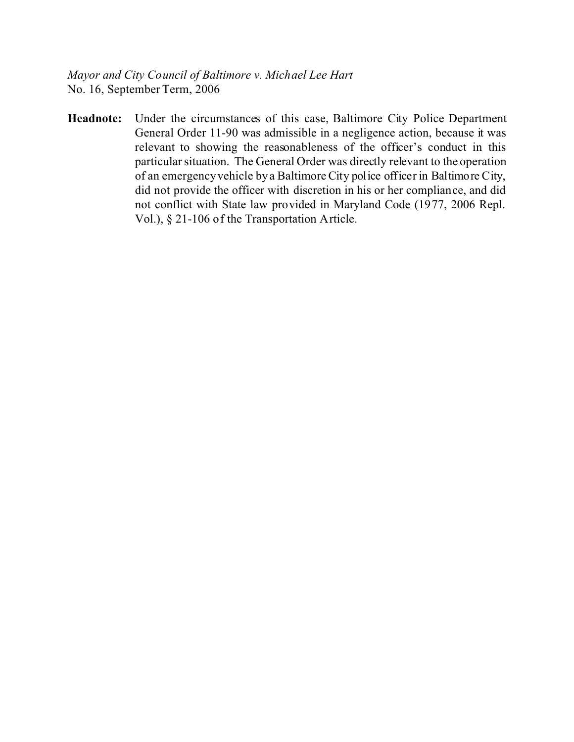*Mayor and City Council of Baltimore v. Michael Lee Hart* No. 16, September Term, 2006

**Headnote:** Under the circumstances of this case, Baltimore City Police Department General Order 11-90 was admissible in a negligence action, because it was relevant to showing the reasonableness of the officer's conduct in this particular situation. The General Order was directly relevant to the operation of an emergency vehicle by a Baltimore City police officer in Baltimore City, did not provide the officer with discretion in his or her compliance, and did not conflict with State law provided in Maryland Code (1977, 2006 Repl. Vol.), § 21-106 of the Transportation Article.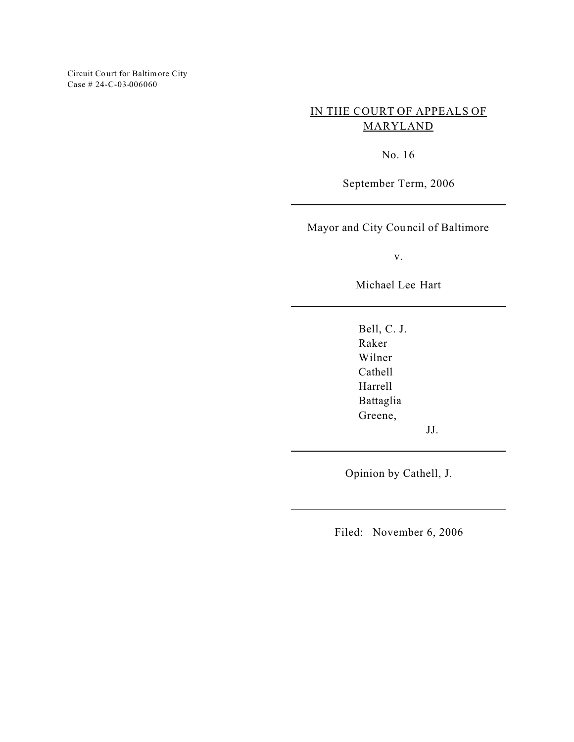Circuit Co urt for Baltimore City Case # 24-C-03-006060

# IN THE COURT OF APPEALS OF MARYLAND

No. 16

September Term, 2006

Mayor and City Council of Baltimore

v.

Michael Lee Hart

Bell, C. J. Raker Wilner Cathell Harrell Battaglia Greene,

JJ.

Opinion by Cathell, J.

Filed: November 6, 2006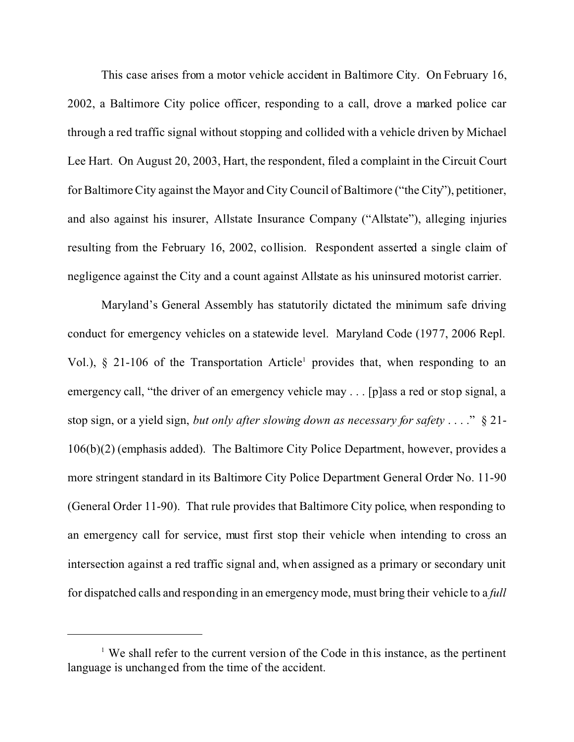This case arises from a motor vehicle accident in Baltimore City. On February 16, 2002, a Baltimore City police officer, responding to a call, drove a marked police car through a red traffic signal without stopping and collided with a vehicle driven by Michael Lee Hart. On August 20, 2003, Hart, the respondent, filed a complaint in the Circuit Court for Baltimore City against the Mayor and City Council of Baltimore ("the City"), petitioner, and also against his insurer, Allstate Insurance Company ("Allstate"), alleging injuries resulting from the February 16, 2002, collision. Respondent asserted a single claim of negligence against the City and a count against Allstate as his uninsured motorist carrier.

Maryland's General Assembly has statutorily dictated the minimum safe driving conduct for emergency vehicles on a statewide level. Maryland Code (1977, 2006 Repl. Vol.), § 21-106 of the Transportation Article<sup>1</sup> provides that, when responding to an emergency call, "the driver of an emergency vehicle may . . . [p]ass a red or stop signal, a stop sign, or a yield sign, *but only after slowing down as necessary for safety* . . . ." § 21- 106(b)(2) (emphasis added). The Baltimore City Police Department, however, provides a more stringent standard in its Baltimore City Police Department General Order No. 11-90 (General Order 11-90). That rule provides that Baltimore City police, when responding to an emergency call for service, must first stop their vehicle when intending to cross an intersection against a red traffic signal and, when assigned as a primary or secondary unit for dispatched calls and responding in an emergency mode, must bring their vehicle to a *full*

<sup>&</sup>lt;sup> $1$ </sup> We shall refer to the current version of the Code in this instance, as the pertinent language is unchanged from the time of the accident.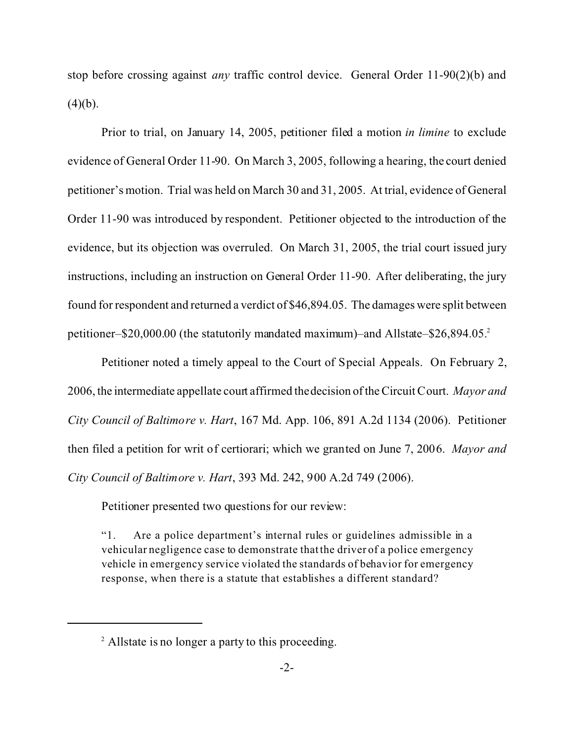stop before crossing against *any* traffic control device. General Order 11-90(2)(b) and  $(4)(b)$ .

Prior to trial, on January 14, 2005, petitioner filed a motion *in limine* to exclude evidence of General Order 11-90. On March 3, 2005, following a hearing, the court denied petitioner's motion. Trial was held on March 30 and 31, 2005. At trial, evidence of General Order 11-90 was introduced by respondent. Petitioner objected to the introduction of the evidence, but its objection was overruled. On March 31, 2005, the trial court issued jury instructions, including an instruction on General Order 11-90. After deliberating, the jury found for respondent and returned a verdict of \$46,894.05. The damages were split between petitioner–\$20,000.00 (the statutorily mandated maximum)–and Allstate–\$26,894.05.<sup>2</sup>

Petitioner noted a timely appeal to the Court of Special Appeals. On February 2, 2006, the intermediate appellate court affirmed the decision of the Circuit Court. *Mayor and City Council of Baltimore v. Hart*, 167 Md. App. 106, 891 A.2d 1134 (2006). Petitioner then filed a petition for writ of certiorari; which we granted on June 7, 2006. *Mayor and City Council of Baltimore v. Hart*, 393 Md. 242, 900 A.2d 749 (2006).

Petitioner presented two questions for our review:

"1. Are a police department's internal rules or guidelines admissible in a vehicular negligence case to demonstrate that the driver of a police emergency vehicle in emergency service violated the standards of behavior for emergency response, when there is a statute that establishes a different standard?

<sup>&</sup>lt;sup>2</sup> Allstate is no longer a party to this proceeding.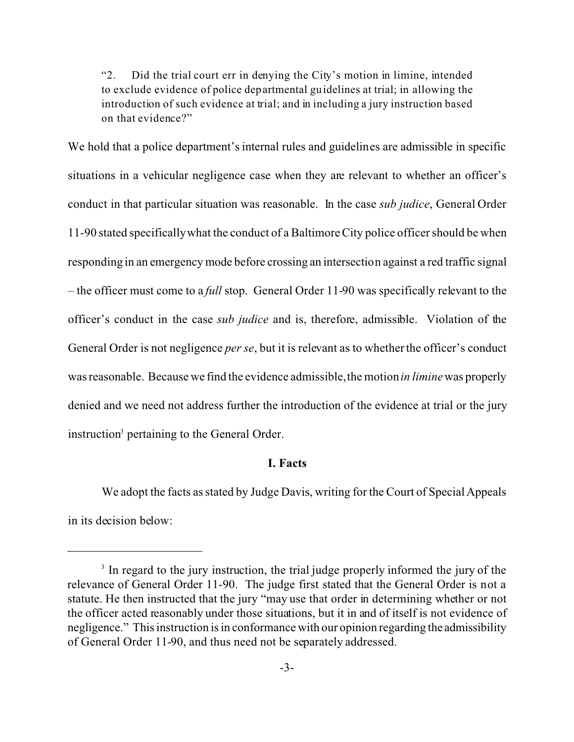"2. Did the trial court err in denying the City's motion in limine, intended to exclude evidence of police departmental guidelines at trial; in allowing the introduction of such evidence at trial; and in including a jury instruction based on that evidence?"

We hold that a police department's internal rules and guidelines are admissible in specific situations in a vehicular negligence case when they are relevant to whether an officer's conduct in that particular situation was reasonable. In the case *sub judice*, General Order 11-90 stated specifically what the conduct of a Baltimore City police officer should be when responding in an emergency mode before crossing an intersection against a red traffic signal – the officer must come to a *full* stop. General Order 11-90 was specifically relevant to the officer's conduct in the case *sub judice* and is, therefore, admissible. Violation of the General Order is not negligence *per se*, but it is relevant as to whether the officer's conduct was reasonable. Because we find the evidence admissible, the motion *in limine* was properly denied and we need not address further the introduction of the evidence at trial or the jury instruction<sup>3</sup> pertaining to the General Order.

# **I. Facts**

We adopt the facts as stated by Judge Davis, writing for the Court of Special Appeals in its decision below:

<sup>&</sup>lt;sup>3</sup> In regard to the jury instruction, the trial judge properly informed the jury of the relevance of General Order 11-90. The judge first stated that the General Order is not a statute. He then instructed that the jury "may use that order in determining whether or not the officer acted reasonably under those situations, but it in and of itself is not evidence of negligence." This instruction is in conformance with our opinion regarding the admissibility of General Order 11-90, and thus need not be separately addressed.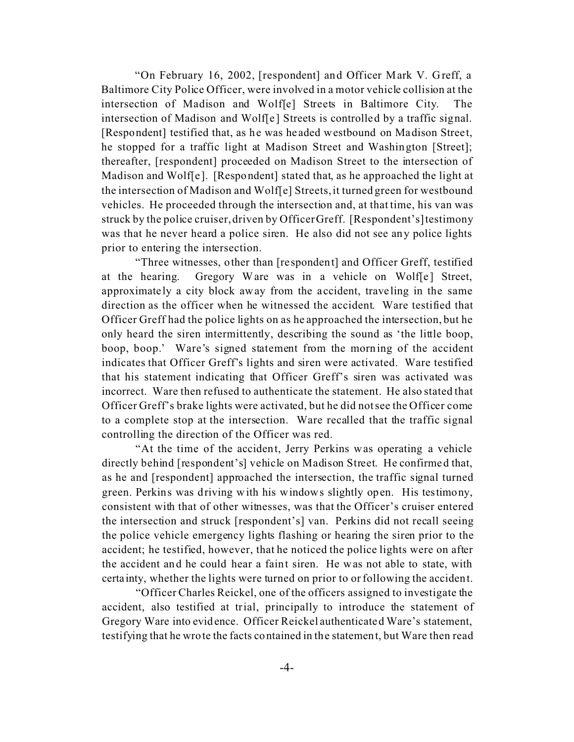"On February 16, 2002, [respondent] and Officer Mark V. Greff, a Baltimore City Police Officer, were involved in a motor vehicle collision at the intersection of Madison and Wolf[e] Streets in Baltimore City. The intersection of Madison and Wolf[e] Streets is controlled by a traffic signal. [Respondent] testified that, as he was headed westbound on Madison Street, he stopped for a traffic light at Madison Street and Washington [Street]; thereafter, [respondent] proceeded on Madison Street to the intersection of Madison and Wolf[e ]. [Respondent] stated that, as he approached the light at the intersection of Madison and Wolf[e] Streets, it turned green for westbound vehicles. He proceeded through the intersection and, at that time, his van was struck by the police cruiser, driven by Officer Greff. [Respondent's] testimony was that he never heard a police siren. He also did not see any police lights prior to entering the intersection.

"Three witnesses, other than [re spondent] and Officer Greff, testified at the hearing. Gregory Ware was in a vehicle on Wolf[e] Street, approximate ly a city block away from the a ccident, trave ling in the same direction as the officer when he witnessed the accident. Ware testified that Officer Greff had the police lights on as he approached the intersection, but he only heard the siren intermittently, describing the sound as 'the little boop, boop, boop.' Ware's signed statement from the morning of the accident indicates that Officer Greff's lights and siren were activated. Ware testified that his statement indicating that Officer Greff's siren was activated was incorrect. Ware then refused to authenticate the statement. He also stated that Officer Greff's brake lights were activated, but he did not see the Officer come to a complete stop at the intersection. Ware recalled that the traffic signal controlling the direction of the Officer was red.

"At the time of the accident, Jerry Perkins was operating a vehicle directly behind [respondent's] vehicle on Madison Street. He confirmed that, as he and [respondent] approached the intersection, the traffic signal turned green. Perkins was driving with his windows slightly open. His testimony, consistent with that of other witnesses, was that the Officer's cruiser entered the intersection and struck [respondent's] van. Perkins did not recall seeing the police vehicle emergency lights flashing or hearing the siren prior to the accident; he testified, however, that he noticed the police lights were on after the accident and he could hear a faint siren. He was not able to state, with certa inty, whether the lights were turned on prior to or following the accident.

"Officer Charles Reickel, one of the officers assigned to investigate the accident, also testified at trial, principally to introduce the statement of Gregory Ware into evidence. Officer Reickel authenticated Ware's statement, testifying that he wrote the facts contained in the statement, but Ware then read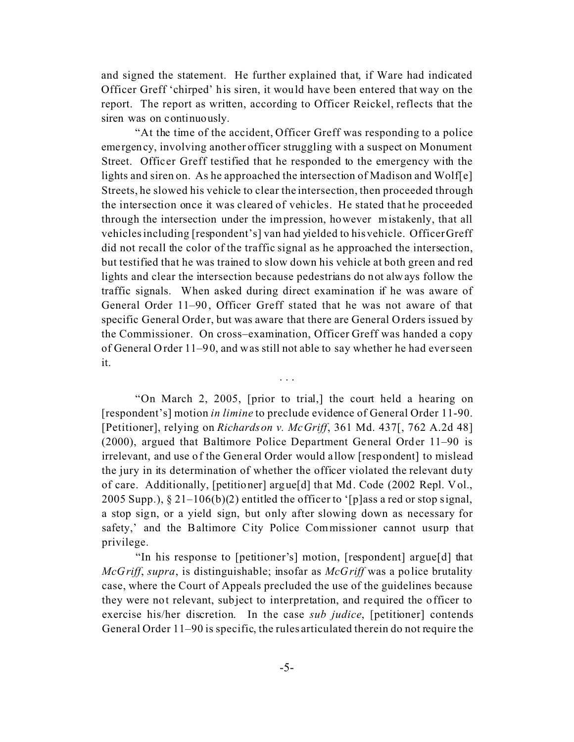and signed the statement. He further explained that, if Ware had indicated Officer Greff 'chirped' his siren, it would have been entered that way on the report. The report as written, according to Officer Reickel, reflects that the siren was on continuously.

"At the time of the accident, Officer Greff was responding to a police emergency, involving another officer struggling with a suspect on Monument Street. Officer Greff testified that he responded to the emergency with the lights and siren on. As he approached the intersection of Madison and Wolf[e] Streets, he slowed his vehicle to clear the intersection, then proceeded through the intersection once it was cleared of vehicles. He stated that he proceeded through the intersection under the impression, however mistakenly, that all vehicles including [respondent's] van had yielded to his vehicle. Officer Greff did not recall the color of the traffic signal as he approached the intersection, but testified that he was trained to slow down his vehicle at both green and red lights and clear the intersection because pedestrians do not always follow the traffic signals. When asked during direct examination if he was aware of General Order 11–90, Officer Greff stated that he was not aware of that specific General Order, but was aware that there are General Orders issued by the Commissioner. On cross–examination, Officer Greff was handed a copy of General Order 11–90, and was still not able to say whether he had ever seen it.

"On March 2, 2005, [prior to trial,] the court held a hearing on [respondent's] motion *in limine* to preclude evidence of General Order 11-90. [Petitioner], relying on *Richardson v. McGriff*, 361 Md. 437[, 762 A.2d 48] (2000), argued that Baltimore Police Department General Order 11–90 is irrelevant, and use of the General Order would a llow [respondent] to mislead the jury in its determination of whether the officer violated the relevant duty of care. Additionally, [petitioner] argue[d] that Md. Code (2002 Repl. Vol., 2005 Supp.),  $\S 21-106(b)(2)$  entitled the officer to '[p]ass a red or stop signal, a stop sign, or a yield sign, but only after slowing down as necessary for safety,' and the Baltimore City Police Commissioner cannot usurp that privilege.

. . .

"In his response to [petitioner's] motion, [respondent] argue[d] that *McGriff*, *supra*, is distinguishable; insofar as *McGriff* was a police brutality case, where the Court of Appeals precluded the use of the guidelines because they were not relevant, subject to interpretation, and required the officer to exercise his/her discretion. In the case *sub judice*, [petitioner] contends General Order 11–90 is specific, the rules articulated therein do not require the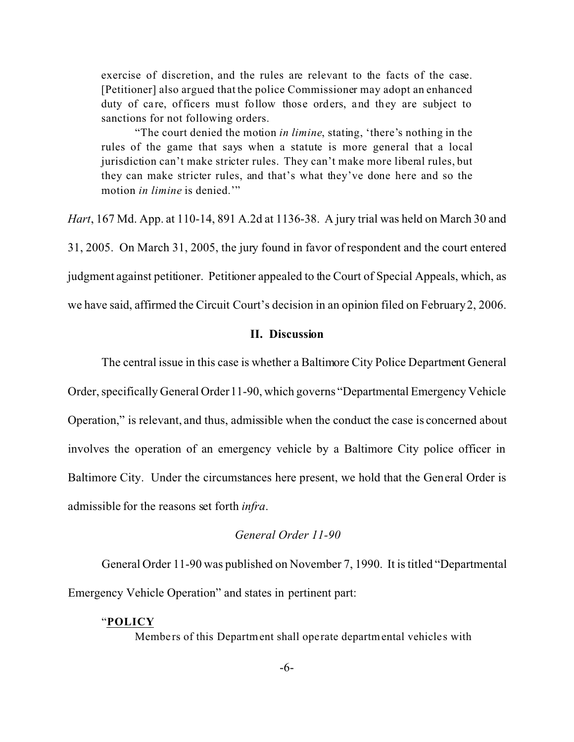exercise of discretion, and the rules are relevant to the facts of the case. [Petitioner] also argued that the police Commissioner may adopt an enhanced duty of care, officers must follow those orders, and they are subject to sanctions for not following orders.

"The court denied the motion *in limine*, stating, 'there's nothing in the rules of the game that says when a statute is more general that a local jurisdiction can't make stricter rules. They can't make more liberal rules, but they can make stricter rules, and that's what they've done here and so the motion *in limine* is denied."

*Hart*, 167 Md. App. at 110-14, 891 A.2d at 1136-38. A jury trial was held on March 30 and 31, 2005. On March 31, 2005, the jury found in favor of respondent and the court entered judgment against petitioner. Petitioner appealed to the Court of Special Appeals, which, as we have said, affirmed the Circuit Court's decision in an opinion filed on February 2, 2006.

# **II. Discussion**

The central issue in this case is whether a Baltimore City Police Department General Order, specifically General Order 11-90, which governs "Departmental Emergency Vehicle Operation," is relevant, and thus, admissible when the conduct the case is concerned about involves the operation of an emergency vehicle by a Baltimore City police officer in Baltimore City. Under the circumstances here present, we hold that the General Order is admissible for the reasons set forth *infra*.

## *General Order 11-90*

General Order 11-90 was published on November 7, 1990. It is titled "Departmental Emergency Vehicle Operation" and states in pertinent part:

### "**POLICY**

Members of this Department shall operate departmental vehicles with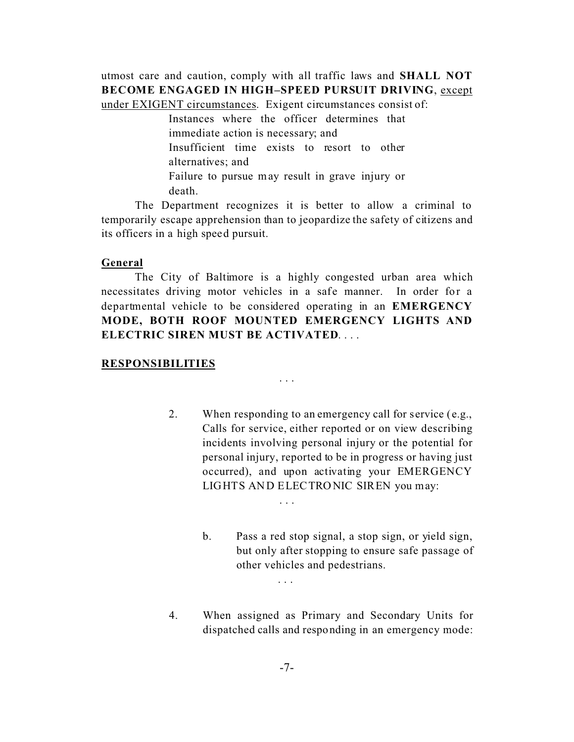utmost care and caution, comply with all traffic laws and **SHALL NOT BECOME ENGAGED IN HIGH–SPEED PURSUIT DRIVING**, except under EXIGENT circumstances. Exigent circumstances consist of:

> Instances where the officer determines that immediate action is necessary; and Insufficient time exists to resort to other alternatives; and Failure to pursue may result in grave injury or death.

The Department recognizes it is better to allow a criminal to temporarily escape apprehension than to jeopardize the safety of citizens and its officers in a high speed pursuit.

### **General**

The City of Baltimore is a highly congested urban area which necessitates driving motor vehicles in a safe manner. In order for a departmental vehicle to be considered operating in an **EMERGENCY MODE, BOTH ROOF MOUNTED EMERGENCY LIGHTS AND ELECTRIC SIREN MUST BE ACTIVATED**. . . .

. . .

. . .

. . .

#### **RESPONSIBILITIES**

2. When responding to an emergency call for service (e.g., Calls for service, either reported or on view describing incidents involving personal injury or the potential for personal injury, reported to be in progress or having just occurred), and upon activating your EMERGENCY LIGHTS AND ELECTRONIC SIREN you may:

> b. Pass a red stop signal, a stop sign, or yield sign, but only after stopping to ensure safe passage of other vehicles and pedestrians.

4. When assigned as Primary and Secondary Units for dispatched calls and responding in an emergency mode: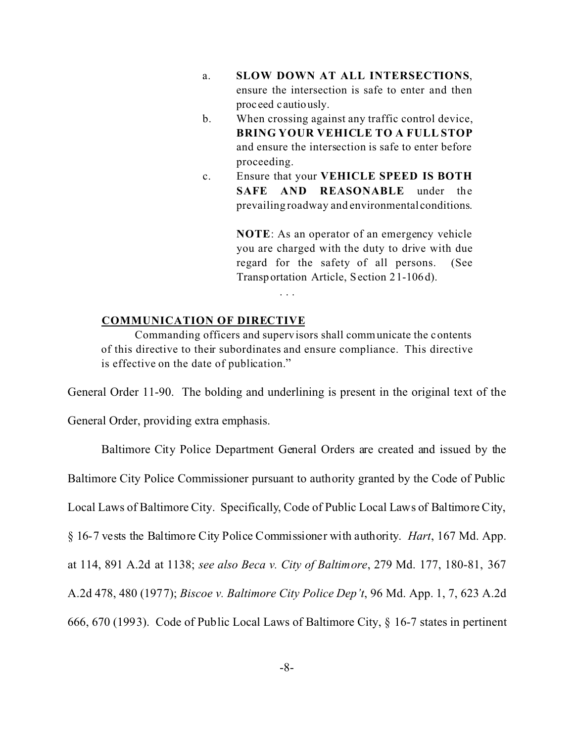- a. **SLOW DOWN AT ALL INTERSECTIONS**, ensure the intersection is safe to enter and then proc eed c autiously.
- b. When crossing against any traffic control device, **BRING YOUR VEHICLE TO A FULL STOP** and ensure the intersection is safe to enter before proceeding.
- c. Ensure that your **VEHICLE SPEED IS BOTH SAFE AND REASONABLE** under the prevailing roadway and environmental conditions.

**NOTE**: As an operator of an emergency vehicle you are charged with the duty to drive with due regard for the safety of all persons. (See Transportation Article, Section 21-106d).

### **COMMUNICATION OF DIRECTIVE**

Commanding officers and supervisors shall communicate the contents of this directive to their subordinates and ensure compliance. This directive is effective on the date of publication."

. . .

General Order 11-90. The bolding and underlining is present in the original text of the

General Order, providing extra emphasis.

Baltimore City Police Department General Orders are created and issued by the

Baltimore City Police Commissioner pursuant to authority granted by the Code of Public

Local Laws of Baltimore City. Specifically, Code of Public Local Laws of Baltimore City,

§ 16-7 vests the Baltimore City Police Commissioner with authority. *Hart*, 167 Md. App.

at 114, 891 A.2d at 1138; *see also Beca v. City of Baltimore*, 279 Md. 177, 180-81, 367

A.2d 478, 480 (1977); *Biscoe v. Baltimore City Police Dep't*, 96 Md. App. 1, 7, 623 A.2d

666, 670 (1993). Code of Public Local Laws of Baltimore City, § 16-7 states in pertinent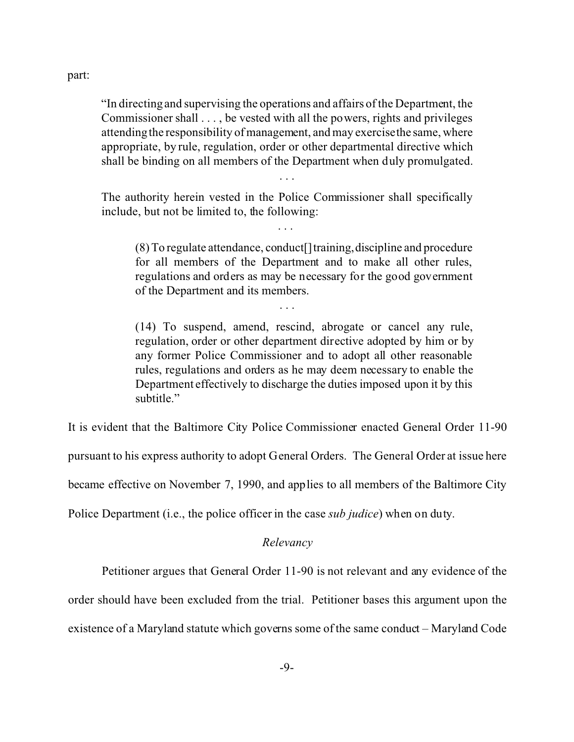part:

"In directing and supervising the operations and affairs of the Department, the Commissioner shall . . . , be vested with all the powers, rights and privileges attending the responsibility of management, and may exercise the same, where appropriate, by rule, regulation, order or other departmental directive which shall be binding on all members of the Department when duly promulgated.

. . .

The authority herein vested in the Police Commissioner shall specifically include, but not be limited to, the following:

. . .

. . .

(8) To regulate attendance, conduct[]training,discipline and procedure for all members of the Department and to make all other rules, regulations and orders as may be necessary for the good government of the Department and its members.

(14) To suspend, amend, rescind, abrogate or cancel any rule, regulation, order or other department directive adopted by him or by any former Police Commissioner and to adopt all other reasonable rules, regulations and orders as he may deem necessary to enable the Department effectively to discharge the duties imposed upon it by this subtitle."

It is evident that the Baltimore City Police Commissioner enacted General Order 11-90

pursuant to his express authority to adopt General Orders. The General Order at issue here

became effective on November 7, 1990, and applies to all members of the Baltimore City

Police Department (i.e., the police officer in the case *sub judice*) when on duty.

### *Relevancy*

Petitioner argues that General Order 11-90 is not relevant and any evidence of the

order should have been excluded from the trial. Petitioner bases this argument upon the

existence of a Maryland statute which governs some of the same conduct – Maryland Code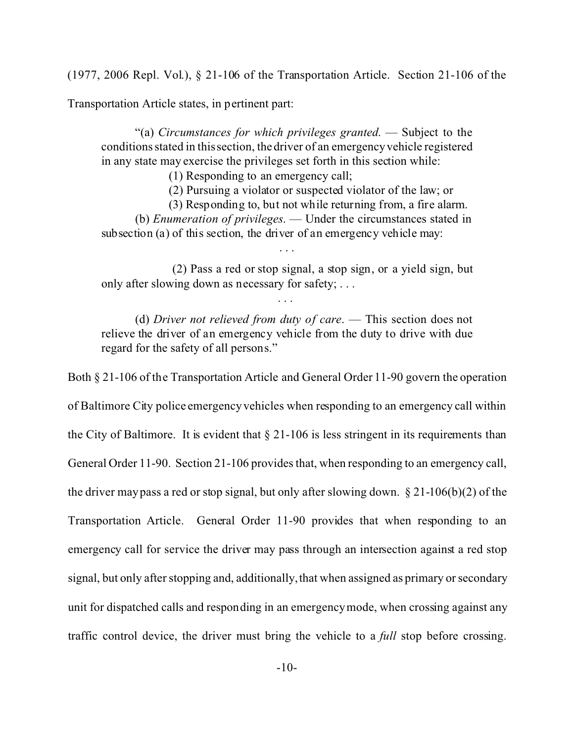(1977, 2006 Repl. Vol.), § 21-106 of the Transportation Article. Section 21-106 of the

Transportation Article states, in pertinent part:

"(a) *Circumstances for which privileges granted*. — Subject to the conditions stated in this section, the driver of an emergency vehicle registered in any state may exercise the privileges set forth in this section while:

(1) Responding to an emergency call;

(2) Pursuing a violator or suspected violator of the law; or

(3) Responding to, but not while returning from, a fire alarm.

(b) *Enumeration of privileges*. — Under the circumstances stated in subsection (a) of this section, the driver of an emergency vehicle may:

. . .

 (2) Pass a red or stop signal, a stop sign, or a yield sign, but only after slowing down as necessary for safety; . . .

. . .

(d) *Driver not relieved from duty of care*. — This section does not relieve the driver of an emergency vehicle from the duty to drive with due regard for the safety of all persons."

Both § 21-106 of the Transportation Article and General Order 11-90 govern the operation of Baltimore City police emergency vehicles when responding to an emergency call within the City of Baltimore. It is evident that  $\S 21-106$  is less stringent in its requirements than General Order 11-90. Section 21-106 provides that, when responding to an emergency call, the driver may pass a red or stop signal, but only after slowing down.  $\S 21-106(b)(2)$  of the Transportation Article. General Order 11-90 provides that when responding to an emergency call for service the driver may pass through an intersection against a red stop signal, but only after stopping and, additionally, that when assigned as primary or secondary unit for dispatched calls and responding in an emergency mode, when crossing against any traffic control device, the driver must bring the vehicle to a *full* stop before crossing.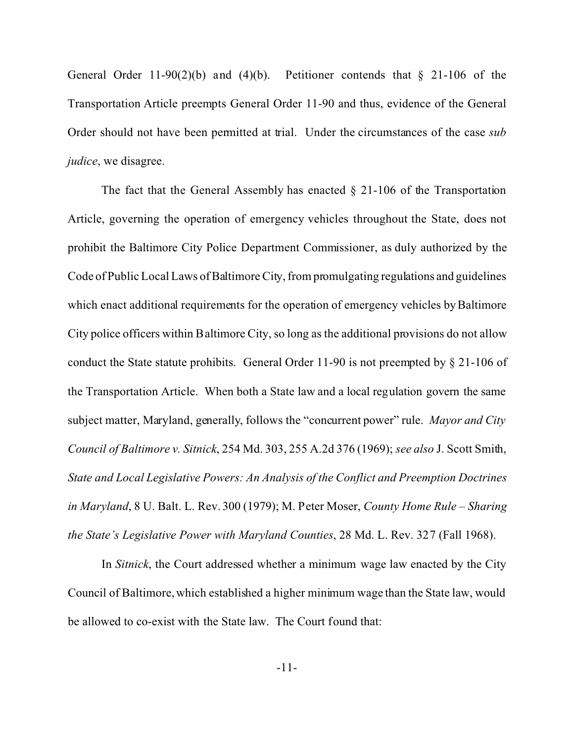General Order 11-90(2)(b) and (4)(b). Petitioner contends that  $\S$  21-106 of the Transportation Article preempts General Order 11-90 and thus, evidence of the General Order should not have been permitted at trial. Under the circumstances of the case *sub judice*, we disagree.

The fact that the General Assembly has enacted  $\S$  21-106 of the Transportation Article, governing the operation of emergency vehicles throughout the State, does not prohibit the Baltimore City Police Department Commissioner, as duly authorized by the Code of Public Local Laws of Baltimore City, from promulgating regulations and guidelines which enact additional requirements for the operation of emergency vehicles by Baltimore City police officers within Baltimore City, so long as the additional provisions do not allow conduct the State statute prohibits. General Order 11-90 is not preempted by  $\S$  21-106 of the Transportation Article. When both a State law and a local regulation govern the same subject matter, Maryland, generally, follows the "concurrent power" rule. *Mayor and City Council of Baltimore v. Sitnick*, 254 Md. 303, 255 A.2d 376 (1969); *see also* J. Scott Smith, *State and Local Legislative Powers: An Analysis of the Conflict and Preemption Doctrines in Maryland*, 8 U. Balt. L. Rev. 300 (1979); M. Peter Moser, *County Home Rule – Sharing the State's Legislative Power with Maryland Counties*, 28 Md. L. Rev. 327 (Fall 1968).

In *Sitnick*, the Court addressed whether a minimum wage law enacted by the City Council of Baltimore, which established a higher minimum wage than the State law, would be allowed to co-exist with the State law. The Court found that: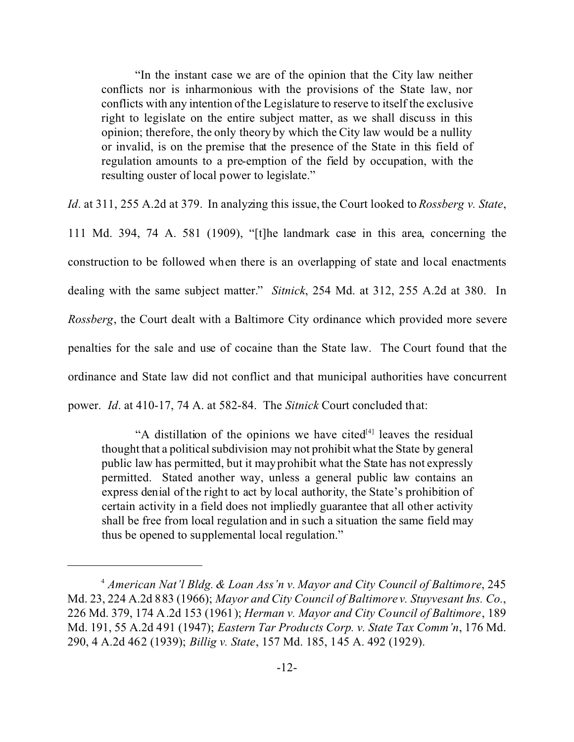"In the instant case we are of the opinion that the City law neither conflicts nor is inharmonious with the provisions of the State law, nor conflicts with any intention of the Legislature to reserve to itself the exclusive right to legislate on the entire subject matter, as we shall discuss in this opinion; therefore, the only theory by which the City law would be a nullity or invalid, is on the premise that the presence of the State in this field of regulation amounts to a pre-emption of the field by occupation, with the resulting ouster of local power to legislate."

*Id*. at 311, 255 A.2d at 379. In analyzing this issue, the Court looked to *Rossberg v. State*,

111 Md. 394, 74 A. 581 (1909), "[t]he landmark case in this area, concerning the construction to be followed when there is an overlapping of state and local enactments dealing with the same subject matter." *Sitnick*, 254 Md. at 312, 255 A.2d at 380. In *Rossberg*, the Court dealt with a Baltimore City ordinance which provided more severe penalties for the sale and use of cocaine than the State law. The Court found that the ordinance and State law did not conflict and that municipal authorities have concurrent power. *Id*. at 410-17, 74 A. at 582-84. The *Sitnick* Court concluded that:

"A distillation of the opinions we have cited  $[4]$  leaves the residual thought that a political subdivision may not prohibit what the State by general public law has permitted, but it may prohibit what the State has not expressly permitted. Stated another way, unless a general public law contains an express denial of the right to act by local authority, the State's prohibition of certain activity in a field does not impliedly guarantee that all other activity shall be free from local regulation and in such a situation the same field may thus be opened to supplemental local regulation."

<sup>4</sup> *American Nat'l Bldg. & Loan Ass'n v. Mayor and City Council of Baltimore*, 245 Md. 23, 224 A.2d 883 (1966); *Mayor and City Council of Baltimore v. Stuyvesant Ins. Co.*, 226 Md. 379, 174 A.2d 153 (1961); *Herman v. Mayor and City Council of Baltimore*, 189 Md. 191, 55 A.2d 491 (1947); *Eastern Tar Products Corp. v. State Tax Comm'n*, 176 Md. 290, 4 A.2d 462 (1939); *Billig v. State*, 157 Md. 185, 145 A. 492 (1929).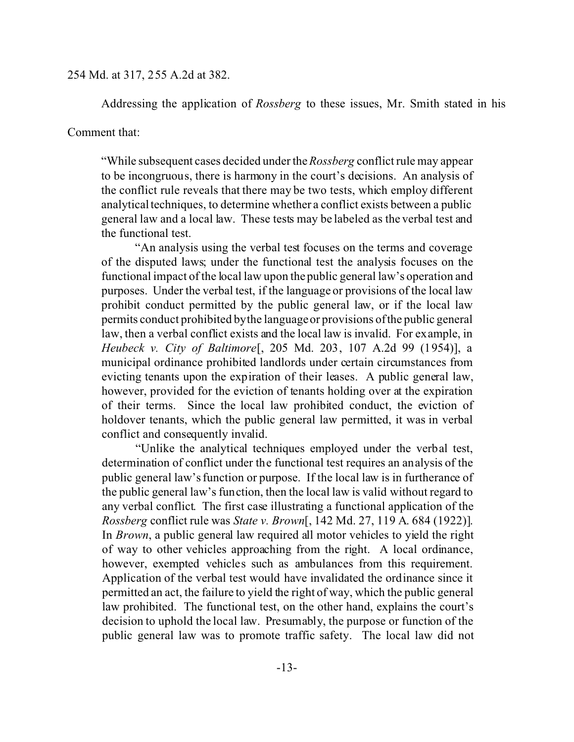### 254 Md. at 317, 255 A.2d at 382.

Addressing the application of *Rossberg* to these issues, Mr. Smith stated in his

## Comment that:

"While subsequent cases decided under the *Rossberg* conflict rule may appear to be incongruous, there is harmony in the court's decisions. An analysis of the conflict rule reveals that there may be two tests, which employ different analytical techniques, to determine whether a conflict exists between a public general law and a local law. These tests may be labeled as the verbal test and the functional test.

"An analysis using the verbal test focuses on the terms and coverage of the disputed laws; under the functional test the analysis focuses on the functional impact of the local law upon the public general law's operation and purposes. Under the verbal test, if the language or provisions of the local law prohibit conduct permitted by the public general law, or if the local law permits conduct prohibited by the language or provisions of the public general law, then a verbal conflict exists and the local law is invalid. For example, in *Heubeck v. City of Baltimore*[, 205 Md. 203, 107 A.2d 99 (1954)], a municipal ordinance prohibited landlords under certain circumstances from evicting tenants upon the expiration of their leases. A public general law, however, provided for the eviction of tenants holding over at the expiration of their terms. Since the local law prohibited conduct, the eviction of holdover tenants, which the public general law permitted, it was in verbal conflict and consequently invalid.

"Unlike the analytical techniques employed under the verbal test, determination of conflict under the functional test requires an analysis of the public general law's function or purpose. If the local law is in furtherance of the public general law's function, then the local law is valid without regard to any verbal conflict. The first case illustrating a functional application of the *Rossberg* conflict rule was *State v. Brown*[, 142 Md. 27, 119 A. 684 (1922)]. In *Brown*, a public general law required all motor vehicles to yield the right of way to other vehicles approaching from the right. A local ordinance, however, exempted vehicles such as ambulances from this requirement. Application of the verbal test would have invalidated the ordinance since it permitted an act, the failure to yield the right of way, which the public general law prohibited. The functional test, on the other hand, explains the court's decision to uphold the local law. Presumably, the purpose or function of the public general law was to promote traffic safety. The local law did not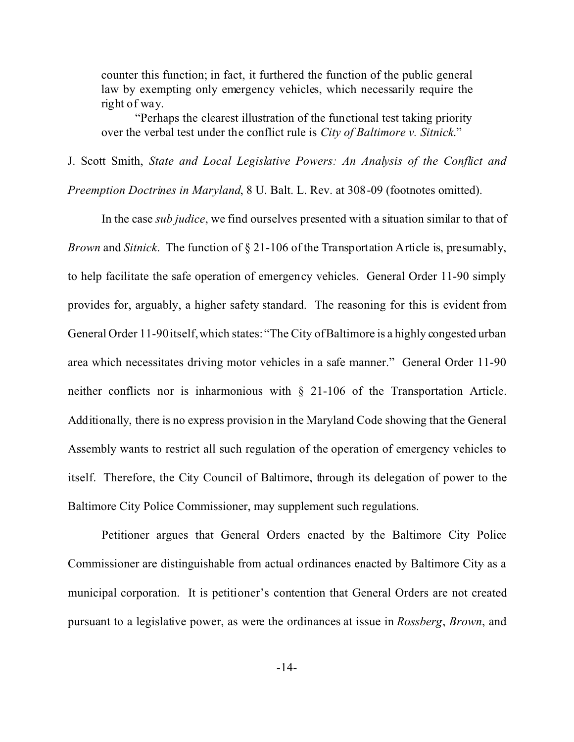counter this function; in fact, it furthered the function of the public general law by exempting only emergency vehicles, which necessarily require the right of way.

"Perhaps the clearest illustration of the functional test taking priority over the verbal test under the conflict rule is *City of Baltimore v. Sitnick*."

J. Scott Smith, *State and Local Legislative Powers: An Analysis of the Conflict and*

*Preemption Doctrines in Maryland*, 8 U. Balt. L. Rev. at 308-09 (footnotes omitted).

In the case *sub judice*, we find ourselves presented with a situation similar to that of *Brown* and *Sitnick*. The function of § 21-106 of the Transportation Article is, presumably, to help facilitate the safe operation of emergency vehicles. General Order 11-90 simply provides for, arguably, a higher safety standard. The reasoning for this is evident from General Order 11-90 itself, which states: "The City of Baltimore is a highly congested urban area which necessitates driving motor vehicles in a safe manner." General Order 11-90 neither conflicts nor is inharmonious with § 21-106 of the Transportation Article. Additionally, there is no express provision in the Maryland Code showing that the General Assembly wants to restrict all such regulation of the operation of emergency vehicles to itself. Therefore, the City Council of Baltimore, through its delegation of power to the Baltimore City Police Commissioner, may supplement such regulations.

Petitioner argues that General Orders enacted by the Baltimore City Police Commissioner are distinguishable from actual ordinances enacted by Baltimore City as a municipal corporation. It is petitioner's contention that General Orders are not created pursuant to a legislative power, as were the ordinances at issue in *Rossberg*, *Brown*, and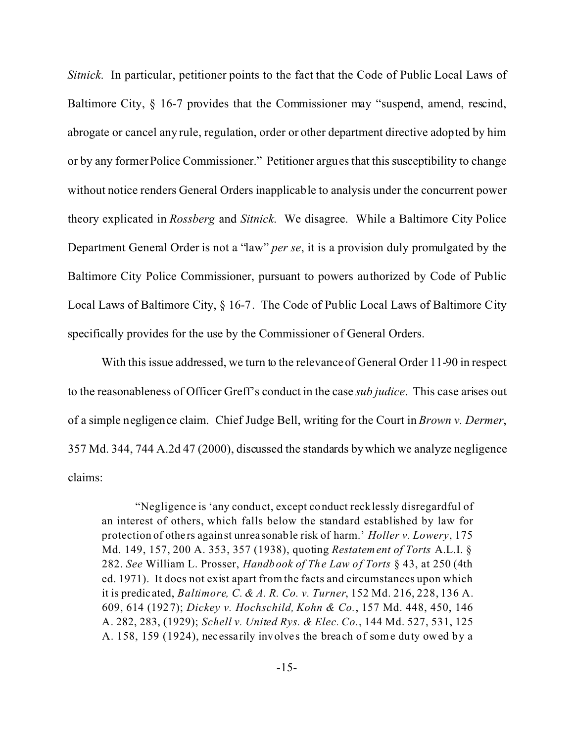*Sitnick*. In particular, petitioner points to the fact that the Code of Public Local Laws of Baltimore City, § 16-7 provides that the Commissioner may "suspend, amend, rescind, abrogate or cancel any rule, regulation, order or other department directive adopted by him or by any former Police Commissioner." Petitioner argues that this susceptibility to change without notice renders General Orders inapplicable to analysis under the concurrent power theory explicated in *Rossberg* and *Sitnick*. We disagree. While a Baltimore City Police Department General Order is not a "law" *per se*, it is a provision duly promulgated by the Baltimore City Police Commissioner, pursuant to powers authorized by Code of Public Local Laws of Baltimore City, § 16-7. The Code of Public Local Laws of Baltimore City specifically provides for the use by the Commissioner of General Orders.

With this issue addressed, we turn to the relevance of General Order 11-90 in respect to the reasonableness of Officer Greff's conduct in the case *sub judice*. This case arises out of a simple negligence claim. Chief Judge Bell, writing for the Court in *Brown v. Dermer*, 357 Md. 344, 744 A.2d 47 (2000), discussed the standards by which we analyze negligence claims:

"Negligence is 'any conduct, except conduct recklessly disregardful of an interest of others, which falls below the standard established by law for protection of othe rs against unrea sonable risk of harm.' *Holler v. Lowery*, 175 Md. 149, 157, 200 A. 353, 357 (1938), quoting *Restatement of Torts* A.L.I. § 282. *See* William L. Prosser, *Handbook of The Law of Torts* § 43, at 250 (4th ed. 1971). It does not exist apart from the facts and circumstances upon which it is predic ated, *Baltimore, C. & A. R. Co. v. Turner*, 152 Md. 216, 228, 136 A. 609, 614 (1927); *Dickey v. Hochschild, Kohn & Co.*, 157 Md. 448, 450, 146 A. 282, 283, (1929); *Schell v. United Rys. & Elec. Co.*, 144 Md. 527, 531, 125 A. 158, 159 (1924), necessarily involves the breach of some duty owed by a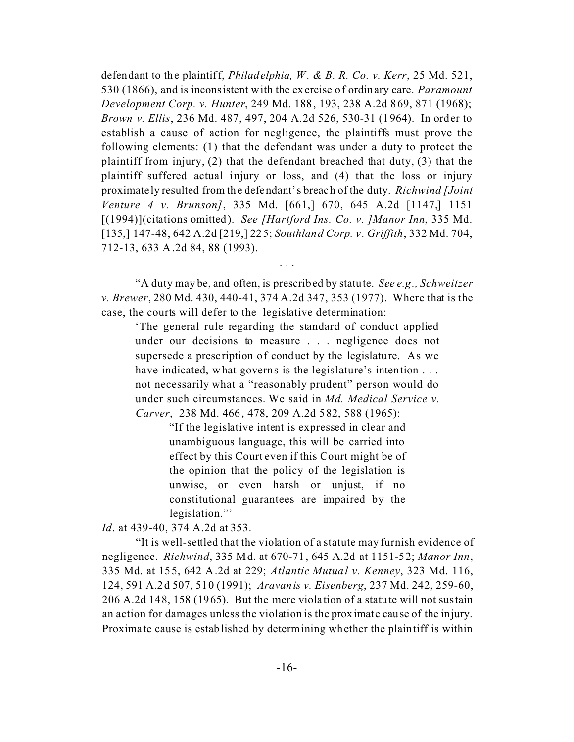defendant to the plaintiff, *Philadelphia, W. & B. R. Co. v. Kerr*, 25 Md. 521, 530 (1866), and is inconsistent with the exercise of ordinary care. *Paramount Development Corp. v. Hunter*, 249 Md. 188, 193, 238 A.2d 869, 871 (1968); *Brown v. Ellis*, 236 Md. 487, 497, 204 A.2d 526, 530-31 (1964). In order to establish a cause of action for negligence, the plaintiffs must prove the following elements: (1) that the defendant was under a duty to protect the plaintiff from injury, (2) that the defendant breached that duty, (3) that the plaintiff suffered actual injury or loss, and (4) that the loss or injury proximate ly resulted from the defendant's breach of the duty. *Richwind [Joint Venture 4 v. Brunson]*, 335 Md. [661,] 670, 645 A.2d [1147,] 1151 [(1994)](citations omitted). *See [Hartford Ins. Co. v. ]Manor Inn*, 335 Md. [135,] 147-48, 642 A.2d [219,] 225; *Southland Corp. v. Griffith*, 332 Md. 704, 712-13, 633 A.2d 84, 88 (1993).

"A duty may be, and often, is prescribed by statute. *See e.g., Schweitzer v. Brewer*, 280 Md. 430, 440-41, 374 A.2d 347, 353 (1977). Where that is the case, the courts will defer to the legislative determination:

. . .

'The general rule regarding the standard of conduct applied under our decisions to measure . . . negligence does not supersede a prescription of conduct by the legislature. As we have indicated, what governs is the legislature's intention . . . not necessarily what a "reasonably prudent" person would do under such circumstances. We said in *Md. Medical Service v. Carver*, 238 Md. 466, 478, 209 A.2d 582, 588 (1965):

> "If the legislative intent is expressed in clear and unambiguous language, this will be carried into effect by this Court even if this Court might be of the opinion that the policy of the legislation is unwise, or even harsh or unjust, if no constitutional guarantees are impaired by the legislation."

*Id*. at 439-40, 374 A.2d at 353.

"It is well-settled that the violation of a statute may furnish evidence of negligence. *Richwind*, 335 Md. at 670-71, 645 A.2d at 1151-52; *Manor Inn*, 335 Md. at 155, 642 A.2d at 229; *Atlantic Mutual v. Kenney*, 323 Md. 116, 124, 591 A.2d 507, 510 (1991); *Aravanis v. Eisenberg*, 237 Md. 242, 259-60, 206 A.2d 148, 158 (1965). But the mere violation of a statute will not sustain an action for damages unless the violation is the proximate cause of the injury. Proxima te cause is established by determining whether the plaintiff is within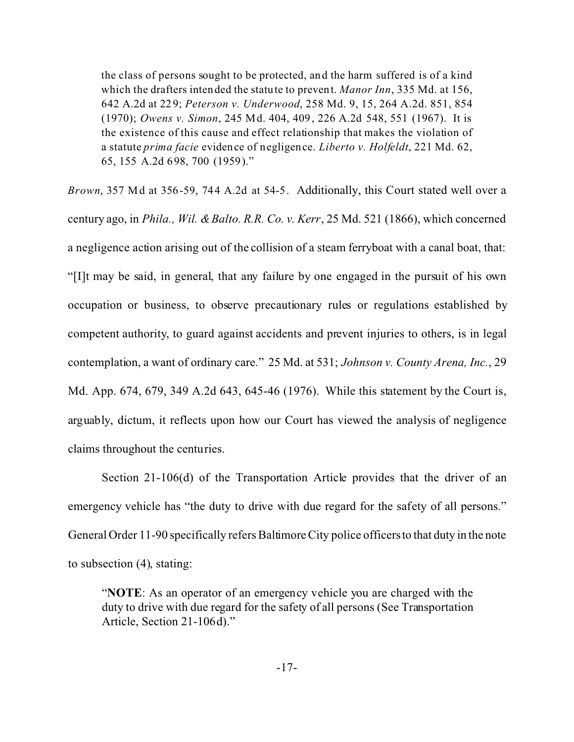the class of persons sought to be protected, and the harm suffered is of a kind which the drafters intended the statute to prevent. *Manor Inn*, 335 Md. at 156, 642 A.2d at 229; *Peterson v. Underwood*, 258 Md. 9, 15, 264 A.2d. 851, 854 (1970); *Owens v. Simon*, 245 Md. 404, 409, 226 A.2d 548, 551 (1967). It is the existence of this cause and effect relationship that makes the violation of a statute *prima facie* evidence of negligence. *Liberto v. Holfeldt*, 221 Md. 62, 65, 155 A.2d 698, 700 (1959)."

*Brown*, 357 Md at 356-59, 744 A.2d at 54-5. Additionally, this Court stated well over a century ago, in *Phila., Wil. & Balto. R.R. Co. v. Kerr*, 25 Md. 521 (1866), which concerned a negligence action arising out of the collision of a steam ferryboat with a canal boat, that: "[I]t may be said, in general, that any failure by one engaged in the pursuit of his own occupation or business, to observe precautionary rules or regulations established by competent authority, to guard against accidents and prevent injuries to others, is in legal contemplation, a want of ordinary care." 25 Md. at 531; *Johnson v. County Arena, Inc.*, 29 Md. App. 674, 679, 349 A.2d 643, 645-46 (1976). While this statement by the Court is, arguably, dictum, it reflects upon how our Court has viewed the analysis of negligence claims throughout the centuries.

Section 21-106(d) of the Transportation Article provides that the driver of an emergency vehicle has "the duty to drive with due regard for the safety of all persons." General Order 11-90 specifically refers Baltimore City police officers to that duty in the note to subsection (4), stating:

"**NOTE**: As an operator of an emergency vehicle you are charged with the duty to drive with due regard for the safety of all persons (See Transportation Article, Section 21-106d)."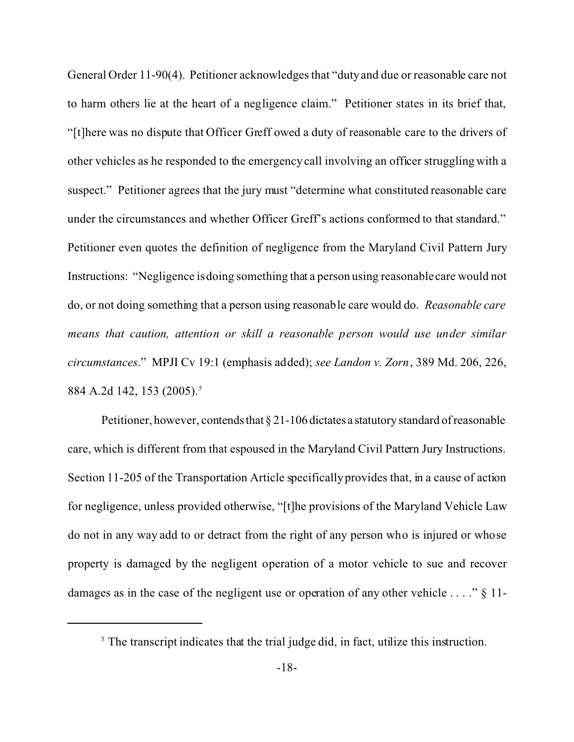General Order 11-90(4). Petitioner acknowledges that "duty and due or reasonable care not to harm others lie at the heart of a negligence claim." Petitioner states in its brief that, "[t]here was no dispute that Officer Greff owed a duty of reasonable care to the drivers of other vehicles as he responded to the emergency call involving an officer struggling with a suspect." Petitioner agrees that the jury must "determine what constituted reasonable care under the circumstances and whether Officer Greff's actions conformed to that standard." Petitioner even quotes the definition of negligence from the Maryland Civil Pattern Jury Instructions: "Negligence is doing something that a person using reasonable care would not do, or not doing something that a person using reasonable care would do. *Reasonable care means that caution, attention or skill a reasonable person would use under similar circumstances*." MPJI Cv 19:1 (emphasis added); *see Landon v. Zorn*, 389 Md. 206, 226, 884 A.2d 142, 153 (2005).<sup>5</sup>

Petitioner, however, contends that  $\S 21$ -106 dictates a statutory standard of reasonable care, which is different from that espoused in the Maryland Civil Pattern Jury Instructions. Section 11-205 of the Transportation Article specifically provides that, in a cause of action for negligence, unless provided otherwise, "[t]he provisions of the Maryland Vehicle Law do not in any way add to or detract from the right of any person who is injured or whose property is damaged by the negligent operation of a motor vehicle to sue and recover damages as in the case of the negligent use or operation of any other vehicle  $\dots$  " § 11-

 $<sup>5</sup>$  The transcript indicates that the trial judge did, in fact, utilize this instruction.</sup>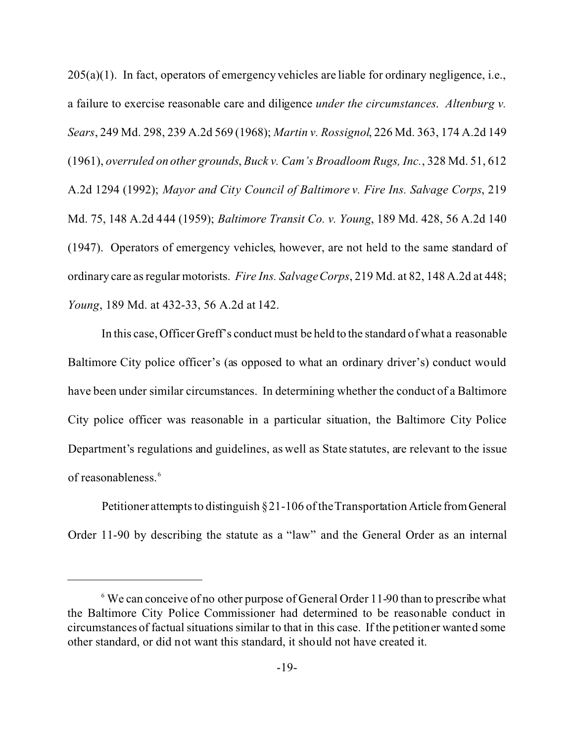$205(a)(1)$ . In fact, operators of emergency vehicles are liable for ordinary negligence, i.e., a failure to exercise reasonable care and diligence *under the circumstances*. *Altenburg v. Sears*, 249 Md. 298, 239 A.2d 569 (1968); *Martin v. Rossignol*, 226 Md. 363, 174 A.2d 149 (1961), *overruled on other grounds*, *Buck v. Cam's Broadloom Rugs, Inc.*, 328 Md. 51, 612 A.2d 1294 (1992); *Mayor and City Council of Baltimore v. Fire Ins. Salvage Corps*, 219 Md. 75, 148 A.2d 444 (1959); *Baltimore Transit Co. v. Young*, 189 Md. 428, 56 A.2d 140 (1947). Operators of emergency vehicles, however, are not held to the same standard of ordinary care as regular motorists. *Fire Ins. Salvage Corps*, 219 Md. at 82, 148 A.2d at 448; *Young*, 189 Md. at 432-33, 56 A.2d at 142.

In this case, Officer Greff's conduct must be held to the standard of what a reasonable Baltimore City police officer's (as opposed to what an ordinary driver's) conduct would have been under similar circumstances. In determining whether the conduct of a Baltimore City police officer was reasonable in a particular situation, the Baltimore City Police Department's regulations and guidelines, as well as State statutes, are relevant to the issue of reasonableness.<sup>6</sup>

Petitioner attempts to distinguish § 21-106 of the Transportation Article fromGeneral Order 11-90 by describing the statute as a "law" and the General Order as an internal

<sup>&</sup>lt;sup>6</sup> We can conceive of no other purpose of General Order 11-90 than to prescribe what the Baltimore City Police Commissioner had determined to be reasonable conduct in circumstances of factual situations similar to that in this case. If the petitioner wanted some other standard, or did not want this standard, it should not have created it.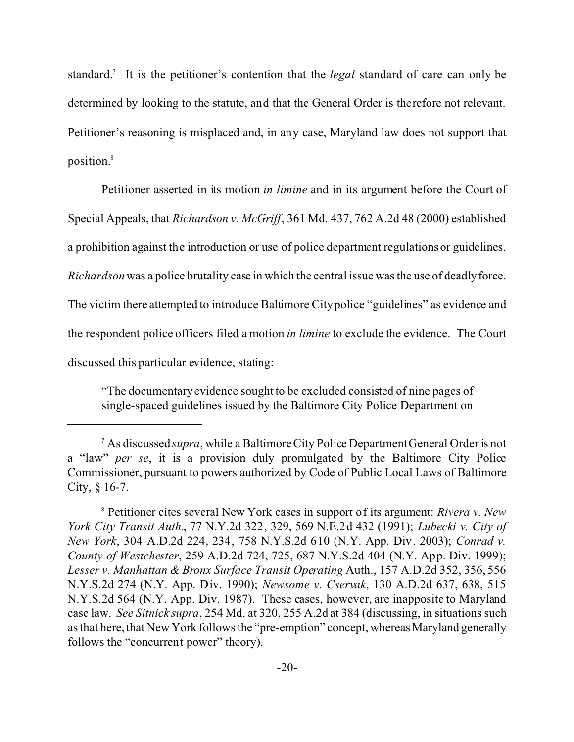standard.<sup>7</sup> It is the petitioner's contention that the *legal* standard of care can only be determined by looking to the statute, and that the General Order is therefore not relevant. Petitioner's reasoning is misplaced and, in any case, Maryland law does not support that position.<sup>8</sup>

Petitioner asserted in its motion *in limine* and in its argument before the Court of Special Appeals, that *Richardson v. McGriff*, 361 Md. 437, 762 A.2d 48 (2000) established a prohibition against the introduction or use of police department regulations or guidelines. *Richardson* was a police brutality case in which the central issue was the use of deadly force. The victim there attempted to introduce Baltimore City police "guidelines" as evidence and the respondent police officers filed a motion *in limine* to exclude the evidence. The Court discussed this particular evidence, stating:

"The documentary evidence sought to be excluded consisted of nine pages of single-spaced guidelines issued by the Baltimore City Police Department on

<sup>7</sup> As discussed *supra*, while a Baltimore City Police Department General Order is not a "law" *per se*, it is a provision duly promulgated by the Baltimore City Police Commissioner, pursuant to powers authorized by Code of Public Local Laws of Baltimore City, § 16-7.

<sup>8</sup> Petitioner cites several New York cases in support of its argument: *Rivera v. New York City Transit Auth.*, 77 N.Y.2d 322, 329, 569 N.E.2d 432 (1991); *Lubecki v. City of New York*, 304 A.D.2d 224, 234, 758 N.Y.S.2d 610 (N.Y. App. Div. 2003); *Conrad v. County of Westchester*, 259 A.D.2d 724, 725, 687 N.Y.S.2d 404 (N.Y. App. Div. 1999); *Lesser v. Manhattan & Bronx Surface Transit Operating* Auth., 157 A.D.2d 352, 356, 556 N.Y.S.2d 274 (N.Y. App. Div. 1990); *Newsome v. Cservak*, 130 A.D.2d 637, 638, 515 N.Y.S.2d 564 (N.Y. App. Div. 1987). These cases, however, are inapposite to Maryland case law. *See Sitnick supra*, 254 Md. at 320, 255 A.2d at 384 (discussing, in situations such as that here, that New York follows the "pre-emption" concept, whereas Maryland generally follows the "concurrent power" theory).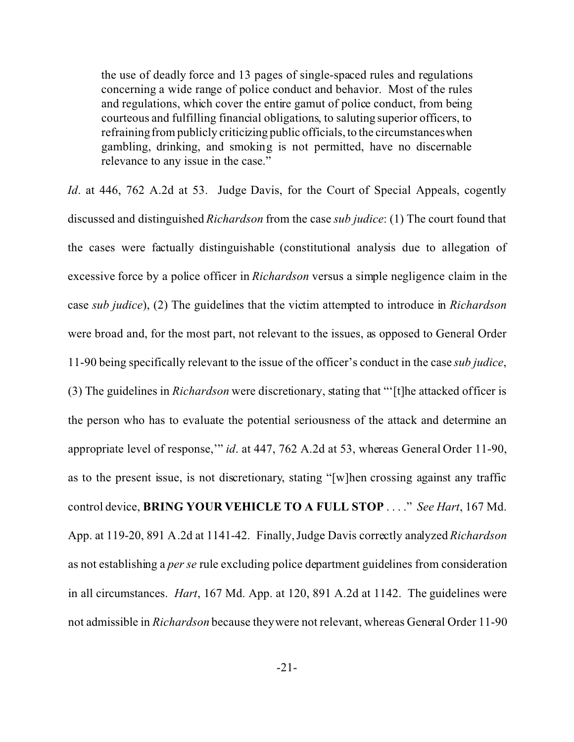the use of deadly force and 13 pages of single-spaced rules and regulations concerning a wide range of police conduct and behavior. Most of the rules and regulations, which cover the entire gamut of police conduct, from being courteous and fulfilling financial obligations, to saluting superior officers, to refraining from publicly criticizing public officials, to the circumstances when gambling, drinking, and smoking is not permitted, have no discernable relevance to any issue in the case."

*Id.* at 446, 762 A.2d at 53. Judge Davis, for the Court of Special Appeals, cogently discussed and distinguished *Richardson* from the case *sub judice*: (1) The court found that the cases were factually distinguishable (constitutional analysis due to allegation of excessive force by a police officer in *Richardson* versus a simple negligence claim in the case *sub judice*), (2) The guidelines that the victim attempted to introduce in *Richardson* were broad and, for the most part, not relevant to the issues, as opposed to General Order 11-90 being specifically relevant to the issue of the officer's conduct in the case *sub judice*, (3) The guidelines in *Richardson* were discretionary, stating that "'[t]he attacked officer is the person who has to evaluate the potential seriousness of the attack and determine an appropriate level of response,'" *id*. at 447, 762 A.2d at 53, whereas General Order 11-90, as to the present issue, is not discretionary, stating "[w]hen crossing against any traffic control device, **BRING YOUR VEHICLE TO A FULL STOP** . . . ." *See Hart*, 167 Md. App. at 119-20, 891 A.2d at 1141-42. Finally, Judge Davis correctly analyzed *Richardson* as not establishing a *per se* rule excluding police department guidelines from consideration in all circumstances. *Hart*, 167 Md. App. at 120, 891 A.2d at 1142. The guidelines were not admissible in *Richardson* because they were not relevant, whereas General Order 11-90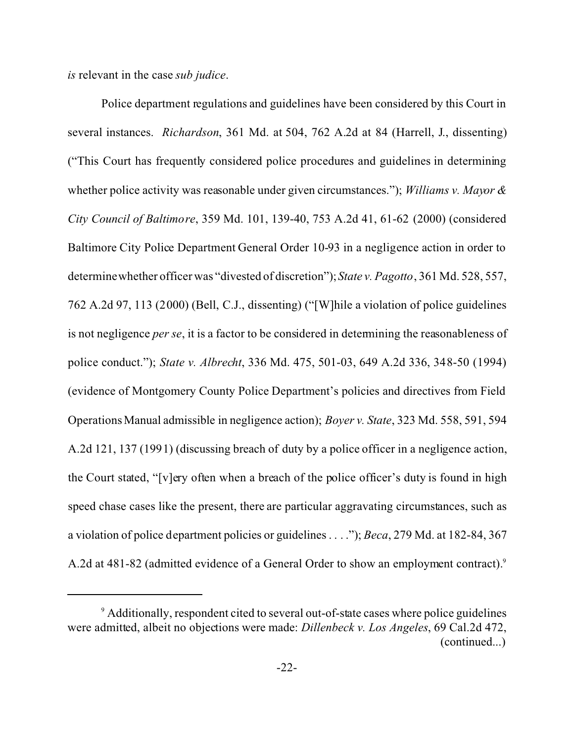*is* relevant in the case *sub judice*.

Police department regulations and guidelines have been considered by this Court in several instances. *Richardson*, 361 Md. at 504, 762 A.2d at 84 (Harrell, J., dissenting) ("This Court has frequently considered police procedures and guidelines in determining whether police activity was reasonable under given circumstances."); *Williams v. Mayor & City Council of Baltimore*, 359 Md. 101, 139-40, 753 A.2d 41, 61-62 (2000) (considered Baltimore City Police Department General Order 10-93 in a negligence action in order to determine whether officer was "divested of discretion");*State v. Pagotto*, 361 Md. 528, 557, 762 A.2d 97, 113 (2000) (Bell, C.J., dissenting) ("[W]hile a violation of police guidelines is not negligence *per se*, it is a factor to be considered in determining the reasonableness of police conduct."); *State v. Albrecht*, 336 Md. 475, 501-03, 649 A.2d 336, 348-50 (1994) (evidence of Montgomery County Police Department's policies and directives from Field Operations Manual admissible in negligence action); *Boyer v. State*, 323 Md. 558, 591, 594 A.2d 121, 137 (1991) (discussing breach of duty by a police officer in a negligence action, the Court stated, "[v]ery often when a breach of the police officer's duty is found in high speed chase cases like the present, there are particular aggravating circumstances, such as a violation of police department policies or guidelines . . . ."); *Beca*, 279 Md. at 182-84, 367 A.2d at 481-82 (admitted evidence of a General Order to show an employment contract).<sup>9</sup>

<sup>&</sup>lt;sup>9</sup> Additionally, respondent cited to several out-of-state cases where police guidelines were admitted, albeit no objections were made: *Dillenbeck v. Los Angeles*, 69 Cal.2d 472, (continued...)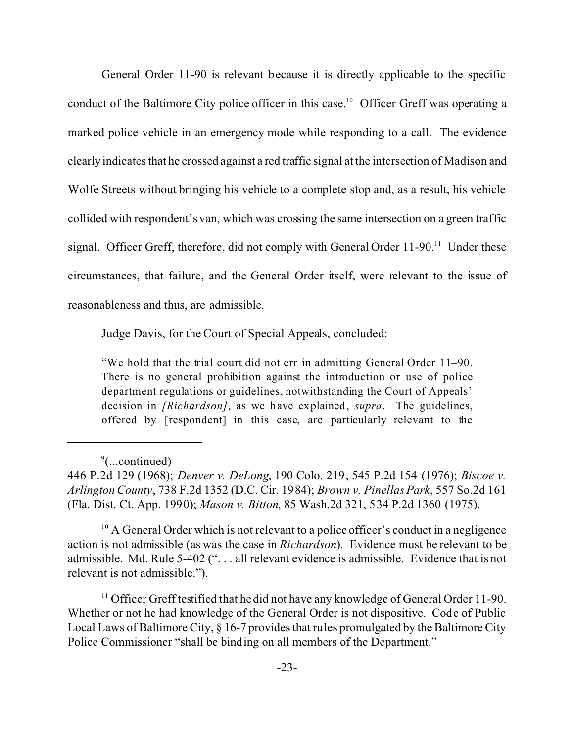General Order 11-90 is relevant because it is directly applicable to the specific conduct of the Baltimore City police officer in this case.<sup>10</sup> Officer Greff was operating a marked police vehicle in an emergency mode while responding to a call. The evidence clearly indicates that he crossed against a red traffic signal at the intersection of Madison and Wolfe Streets without bringing his vehicle to a complete stop and, as a result, his vehicle collided with respondent's van, which was crossing the same intersection on a green traffic signal. Officer Greff, therefore, did not comply with General Order  $11-90$ <sup>11</sup> Under these circumstances, that failure, and the General Order itself, were relevant to the issue of reasonableness and thus, are admissible.

Judge Davis, for the Court of Special Appeals, concluded:

"We hold that the trial court did not err in admitting General Order 11–90. There is no general prohibition against the introduction or use of police department regulations or guidelines, notwithstanding the Court of Appeals' decision in *[Richardson]*, as we have explained, *supra*. The guidelines, offered by [respondent] in this case, are particularly relevant to the

<sup>10</sup> A General Order which is not relevant to a police officer's conduct in a negligence action is not admissible (as was the case in *Richardson*). Evidence must be relevant to be admissible. Md. Rule 5-402 (". . . all relevant evidence is admissible. Evidence that is not relevant is not admissible.").

<sup>11</sup> Officer Greff testified that he did not have any knowledge of General Order 11-90. Whether or not he had knowledge of the General Order is not dispositive. Code of Public Local Laws of Baltimore City, § 16-7 provides that rules promulgated by the Baltimore City Police Commissioner "shall be binding on all members of the Department."

<sup>&</sup>lt;sup>9</sup>(...continued)

<sup>446</sup> P.2d 129 (1968); *Denver v. DeLong*, 190 Colo. 219, 545 P.2d 154 (1976); *Biscoe v. Arlington County*, 738 F.2d 1352 (D.C. Cir. 1984); *Brown v. Pinellas Park*, 557 So.2d 161 (Fla. Dist. Ct. App. 1990); *Mason v. Bitton*, 85 Wash.2d 321, 534 P.2d 1360 (1975).